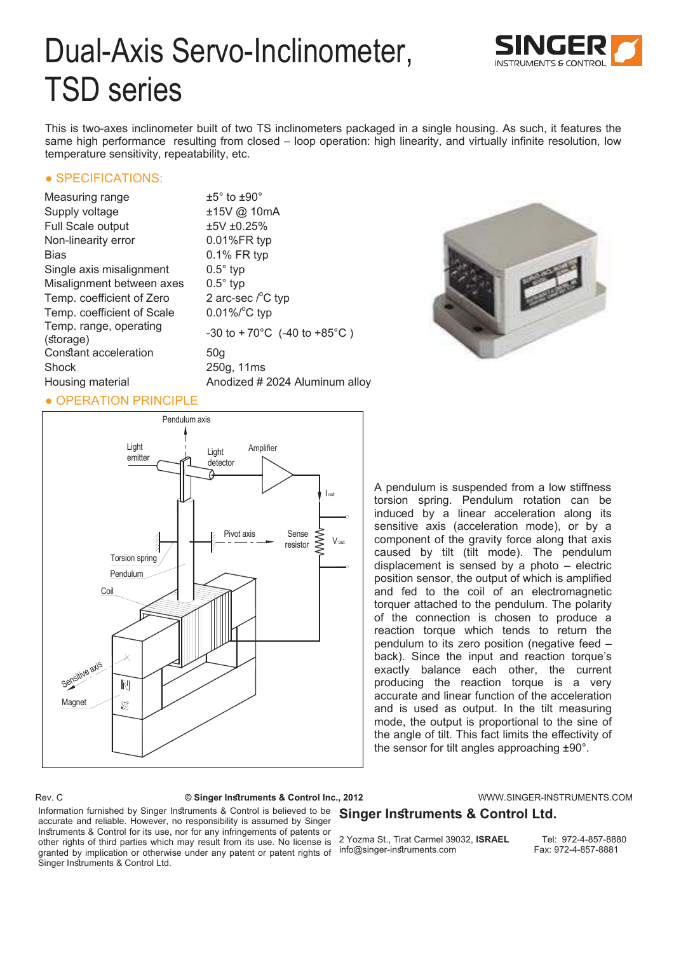# Dual-Axis Servo-Inclinometer, TSD series

This is two-axes inclinometer built of two TS inclinometers packaged in a single housing. As such, it features the same high performance resulting from closed – loop operation: high linearity, and virtually infinite resolution, low temperature sensitivity, repeatability, etc.

### • SPECIFICATIONS:

| Measuring range                     | $\pm 5^{\circ}$ to $\pm 90^{\circ}$ |
|-------------------------------------|-------------------------------------|
| Supply voltage                      | ±15V @ 10mA                         |
| Full Scale output                   | ±5V±0.25%                           |
| Non-linearity error                 | 0.01%FR typ                         |
| Bias                                | 0.1% FR typ                         |
| Single axis misalignment            | $0.5^\circ$ typ                     |
| Misalignment between axes           | $0.5^\circ$ typ                     |
| Temp. coefficient of Zero           | 2 arc-sec $\sqrt{\ }$ C typ         |
| Temp. coefficient of Scale          | $0.01\%$ <sup>°</sup> C typ         |
| Temp. range, operating<br>(storage) | $-30$ to $+70^{\circ}$ C (-4        |
| Constant acceleration               | 50 <sub>q</sub>                     |
| Shock                               | 250g, 11ms                          |
| Housing material                    | Anodized # 2024                     |
|                                     |                                     |

 $0.10$ mA R typ  $^{\circ}$ C typ  $70^{\circ}$ C (-40 to +85 $^{\circ}$ C) ed # 2024 Aluminum alloy



# ● OPERATION PRINCIPLE



A pendulum is suspended from a low stiffness torsion spring. Pendulum rotation can be induced by a linear acceleration along its sensitive axis (acceleration mode), or by a component of the gravity force along that axis caused by tilt (tilt mode). The pendulum displacement is sensed by a photo – electric position sensor, the output of which is amplified and fed to the coil of an electromagnetic torquer attached to the pendulum. The polarity of the connection is chosen to produce a reaction torque which tends to return the pendulum to its zero position (negative feed – back). Since the input and reaction torque's exactly balance each other, the current producing the reaction torque is a very accurate and linear function of the acceleration and is used as output. In the tilt measuring mode, the output is proportional to the sine of the angle of tilt. This fact limits the effectivity of the sensor for tilt angles approaching ±90°.

Rev. C **© Singer Instruments & Control Inc., 2012** WWW.SINGER-INSTRUMENTS.COM

# **Singer Instruments & Control Ltd.**

Information furnished by Singer Instruments & Control is believed to be accurate and reliable. However, no responsibility is assumed by Singer Instruments & Control for its use, nor for any infringements of patents or other rights of third parties which may result from its use. No license is granted by implication or otherwise under any patent or patent rights of Singer Instruments & Control Ltd.

2 Yozma St., Tirat Carmel 39032, **ISRAEL** Tel: 972-4-857-8880 info@singer-instruments.com